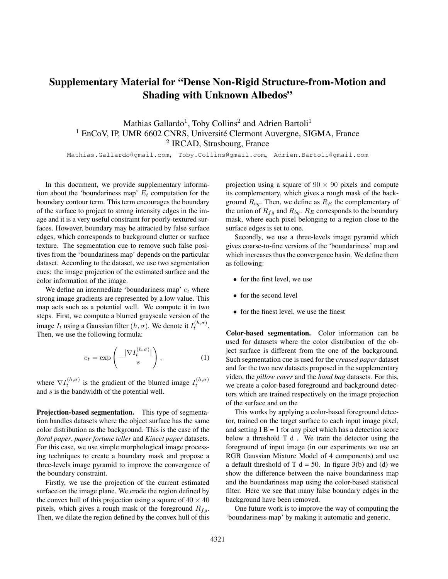## Supplementary Material for "Dense Non-Rigid Structure-from-Motion and Shading with Unknown Albedos"

Mathias Gallardo<sup>1</sup>, Toby Collins<sup>2</sup> and Adrien Bartoli<sup>1</sup>  $1$  EnCoV, IP, UMR 6602 CNRS, Université Clermont Auvergne, SIGMA, France 2 IRCAD, Strasbourg, France

Mathias.Gallardo@gmail.com, Toby.Collins@gmail.com, Adrien.Bartoli@gmail.com

In this document, we provide supplementary information about the 'boundariness map'  $E_t$  computation for the boundary contour term. This term encourages the boundary of the surface to project to strong intensity edges in the image and it is a very useful constraint for poorly-textured surfaces. However, boundary may be attracted by false surface edges, which corresponds to background clutter or surface texture. The segmentation cue to remove such false positives from the 'boundariness map' depends on the particular dataset. According to the dataset, we use two segmentation cues: the image projection of the estimated surface and the color information of the image.

We define an intermediate 'boundariness map'  $e_t$  where strong image gradients are represented by a low value. This map acts such as a potential well. We compute it in two steps. First, we compute a blurred grayscale version of the image  $I_t$  using a Gaussian filter  $(h, \sigma)$ . We denote it  $I_t^{(h, \sigma)}$ . Then, we use the following formula:

$$
e_t = \exp\left(-\frac{|\nabla I_t^{(h,\sigma)}|}{s}\right),\tag{1}
$$

where  $\nabla I_t^{(h,\sigma)}$  is the gradient of the blurred image  $I_t^{(h,\sigma)}$ and s is the bandwidth of the potential well.

Projection-based segmentation. This type of segmentation handles datasets where the object surface has the same color distribution as the background. This is the case of the *floral paper*, *paper fortune teller* and *Kinect paper* datasets. For this case, we use simple morphological image processing techniques to create a boundary mask and propose a three-levels image pyramid to improve the convergence of the boundary constraint.

Firstly, we use the projection of the current estimated surface on the image plane. We erode the region defined by the convex hull of this projection using a square of  $40 \times 40$ pixels, which gives a rough mask of the foreground  $R_{fa}$ . Then, we dilate the region defined by the convex hull of this

projection using a square of  $90 \times 90$  pixels and compute its complementary, which gives a rough mask of the background  $R_{bg}$ . Then, we define as  $R_E$  the complementary of the union of  $R_{fg}$  and  $R_{bg}$ .  $R_E$  corresponds to the boundary mask, where each pixel belonging to a region close to the surface edges is set to one.

Secondly, we use a three-levels image pyramid which gives coarse-to-fine versions of the 'boundariness' map and which increases thus the convergence basin. We define them as following:

- for the first level, we use
- for the second level
- for the finest level, we use the finest

Color-based segmentation. Color information can be used for datasets where the color distribution of the object surface is different from the one of the background. Such segmentation cue is used for the *creased paper* dataset and for the two new datasets proposed in the supplementary video, the *pillow cover* and the *hand bag* datasets. For this, we create a color-based foreground and background detectors which are trained respectively on the image projection of the surface and on the

This works by applying a color-based foreground detector, trained on the target surface to each input image pixel, and setting  $I B = 1$  for any pixel which has a detection score below a threshold T d . We train the detector using the foreground of input image (in our experiments we use an RGB Gaussian Mixture Model of 4 components) and use a default threshold of T  $d = 50$ . In figure 3(b) and (d) we show the difference between the naive boundariness map and the boundariness map using the color-based statistical filter. Here we see that many false boundary edges in the background have been removed.

One future work is to improve the way of computing the 'boundariness map' by making it automatic and generic.